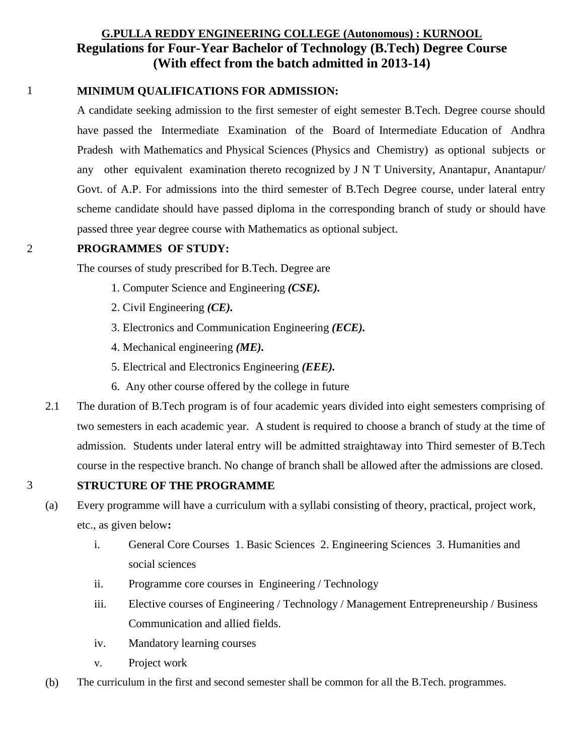# **G.PULLA REDDY ENGINEERING COLLEGE (Autonomous) : KURNOOL Regulations for Four-Year Bachelor of Technology (B.Tech) Degree Course (With effect from the batch admitted in 2013-14)**

# 1 **MINIMUM QUALIFICATIONS FOR ADMISSION:**

A candidate seeking admission to the first semester of eight semester B.Tech. Degree course should have passed the Intermediate Examination of the Board of Intermediate Education of Andhra Pradesh with Mathematics and Physical Sciences (Physics and Chemistry) as optional subjects or any other equivalent examination thereto recognized by J N T University, Anantapur, Anantapur/ Govt. of A.P. For admissions into the third semester of B.Tech Degree course, under lateral entry scheme candidate should have passed diploma in the corresponding branch of study or should have passed three year degree course with Mathematics as optional subject.

### 2 **PROGRAMMES OF STUDY:**

The courses of study prescribed for B.Tech. Degree are

- 1. Computer Science and Engineering *(CSE).*
- 2. Civil Engineering *(CE).*
- 3. Electronics and Communication Engineering *(ECE).*
- 4. Mechanical engineering *(ME).*
- 5. Electrical and Electronics Engineering *(EEE).*
- 6. Any other course offered by the college in future
- 2.1 The duration of B.Tech program is of four academic years divided into eight semesters comprising of two semesters in each academic year. A student is required to choose a branch of study at the time of admission. Students under lateral entry will be admitted straightaway into Third semester of B.Tech course in the respective branch. No change of branch shall be allowed after the admissions are closed.

### 3 **STRUCTURE OF THE PROGRAMME**

- (a) Every programme will have a curriculum with a syllabi consisting of theory, practical, project work, etc., as given below**:** 
	- i. General Core Courses 1. Basic Sciences 2. Engineering Sciences 3. Humanities and social sciences
	- ii. Programme core courses in Engineering / Technology
	- iii. Elective courses of Engineering / Technology / Management Entrepreneurship / Business Communication and allied fields.
	- iv. Mandatory learning courses
	- v. Project work
- (b) The curriculum in the first and second semester shall be common for all the B.Tech. programmes.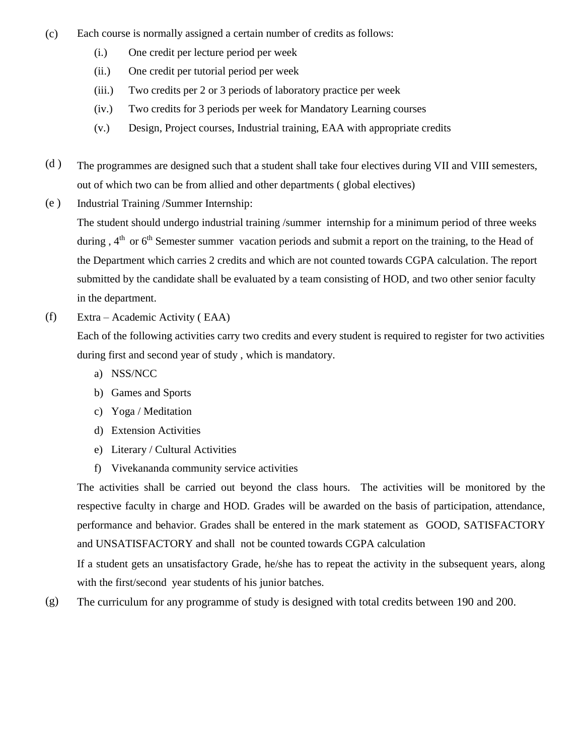- (c) Each course is normally assigned a certain number of credits as follows:
	- (i.) One credit per lecture period per week
	- (ii.) One credit per tutorial period per week
	- (iii.) Two credits per 2 or 3 periods of laboratory practice per week
	- (iv.) Two credits for 3 periods per week for Mandatory Learning courses
	- (v.) Design, Project courses, Industrial training, EAA with appropriate credits
- (d ) The programmes are designed such that a student shall take four electives during VII and VIII semesters, out of which two can be from allied and other departments ( global electives)
- (e ) Industrial Training /Summer Internship:

The student should undergo industrial training /summer internship for a minimum period of three weeks during,  $4<sup>th</sup>$  or  $6<sup>th</sup>$  Semester summer vacation periods and submit a report on the training, to the Head of the Department which carries 2 credits and which are not counted towards CGPA calculation. The report submitted by the candidate shall be evaluated by a team consisting of HOD, and two other senior faculty in the department.

(f) Extra – Academic Activity ( EAA)

> Each of the following activities carry two credits and every student is required to register for two activities during first and second year of study , which is mandatory.

- a) NSS/NCC
- b) Games and Sports
- c) Yoga / Meditation
- d) Extension Activities
- e) Literary / Cultural Activities
- f) Vivekananda community service activities

The activities shall be carried out beyond the class hours. The activities will be monitored by the respective faculty in charge and HOD. Grades will be awarded on the basis of participation, attendance, performance and behavior. Grades shall be entered in the mark statement as GOOD, SATISFACTORY and UNSATISFACTORY and shall not be counted towards CGPA calculation

If a student gets an unsatisfactory Grade, he/she has to repeat the activity in the subsequent years, along with the first/second year students of his junior batches.

(g) The curriculum for any programme of study is designed with total credits between 190 and 200.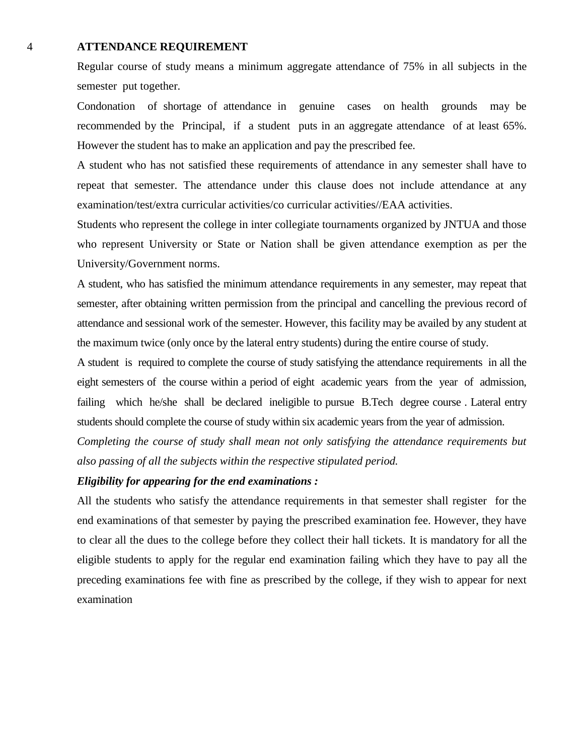#### 4 **ATTENDANCE REQUIREMENT**

Regular course of study means a minimum aggregate attendance of 75% in all subjects in the semester put together.

Condonation of shortage of attendance in genuine cases on health grounds may be recommended by the Principal, if a student puts in an aggregate attendance of at least 65%. However the student has to make an application and pay the prescribed fee.

A student who has not satisfied these requirements of attendance in any semester shall have to repeat that semester. The attendance under this clause does not include attendance at any examination/test/extra curricular activities/co curricular activities//EAA activities.

Students who represent the college in inter collegiate tournaments organized by JNTUA and those who represent University or State or Nation shall be given attendance exemption as per the University/Government norms.

A student, who has satisfied the minimum attendance requirements in any semester, may repeat that semester, after obtaining written permission from the principal and cancelling the previous record of attendance and sessional work of the semester. However, this facility may be availed by any student at the maximum twice (only once by the lateral entry students) during the entire course of study.

A student is required to complete the course of study satisfying the attendance requirements in all the eight semesters of the course within a period of eight academic years from the year of admission, failing which he/she shall be declared ineligible to pursue B.Tech degree course . Lateral entry students should complete the course of study within six academic years from the year of admission.

*Completing the course of study shall mean not only satisfying the attendance requirements but also passing of all the subjects within the respective stipulated period.*

### *Eligibility for appearing for the end examinations :*

All the students who satisfy the attendance requirements in that semester shall register for the end examinations of that semester by paying the prescribed examination fee. However, they have to clear all the dues to the college before they collect their hall tickets. It is mandatory for all the eligible students to apply for the regular end examination failing which they have to pay all the preceding examinations fee with fine as prescribed by the college, if they wish to appear for next examination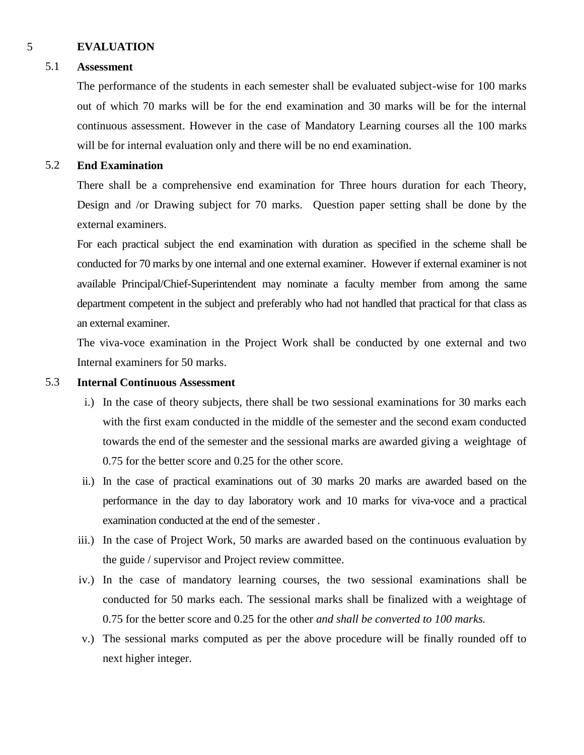## 5 **EVALUATION**

## 5.1 **Assessment**

The performance of the students in each semester shall be evaluated subject-wise for 100 marks out of which 70 marks will be for the end examination and 30 marks will be for the internal continuous assessment. However in the case of Mandatory Learning courses all the 100 marks will be for internal evaluation only and there will be no end examination.

## 5.2 **End Examination**

There shall be a comprehensive end examination for Three hours duration for each Theory, Design and /or Drawing subject for 70 marks. Question paper setting shall be done by the external examiners.

For each practical subject the end examination with duration as specified in the scheme shall be conducted for 70 marks by one internal and one external examiner. However if external examiner is not available Principal/Chief-Superintendent may nominate a faculty member from among the same department competent in the subject and preferably who had not handled that practical for that class as an external examiner.

The viva-voce examination in the Project Work shall be conducted by one external and two Internal examiners for 50 marks.

## 5.3 **Internal Continuous Assessment**

- i.) In the case of theory subjects, there shall be two sessional examinations for 30 marks each with the first exam conducted in the middle of the semester and the second exam conducted towards the end of the semester and the sessional marks are awarded giving a weightage of 0.75 for the better score and 0.25 for the other score.
- ii.) In the case of practical examinations out of 30 marks 20 marks are awarded based on the performance in the day to day laboratory work and 10 marks for viva-voce and a practical examination conducted at the end of the semester .
- iii.) In the case of Project Work, 50 marks are awarded based on the continuous evaluation by the guide / supervisor and Project review committee.
- iv.) In the case of mandatory learning courses, the two sessional examinations shall be conducted for 50 marks each. The sessional marks shall be finalized with a weightage of 0.75 for the better score and 0.25 for the other *and shall be converted to 100 marks.*
- v.) The sessional marks computed as per the above procedure will be finally rounded off to next higher integer.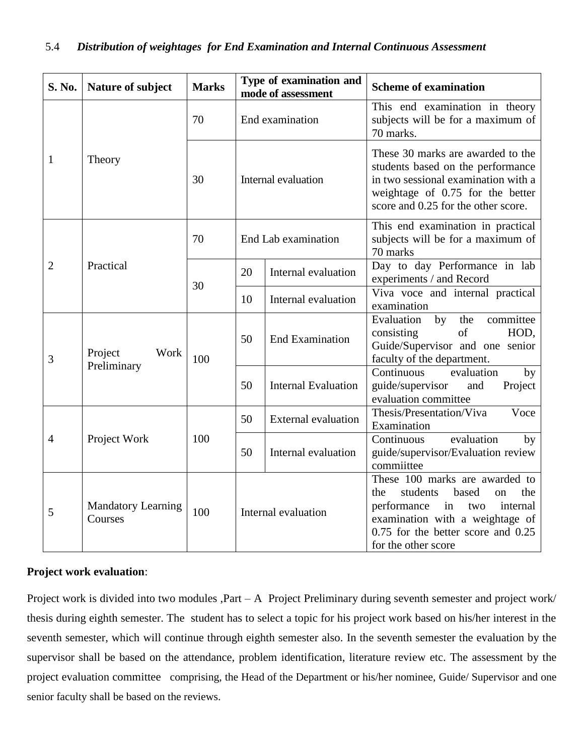| <b>S. No.</b>  | Nature of subject                    | <b>Marks</b> |                     | Type of examination and<br>mode of assessment | <b>Scheme of examination</b>                                                                                                                                                                                 |
|----------------|--------------------------------------|--------------|---------------------|-----------------------------------------------|--------------------------------------------------------------------------------------------------------------------------------------------------------------------------------------------------------------|
|                |                                      | 70           |                     | End examination                               | This end examination in theory<br>subjects will be for a maximum of<br>70 marks.                                                                                                                             |
| $\mathbf{1}$   | Theory                               | 30           | Internal evaluation |                                               | These 30 marks are awarded to the<br>students based on the performance<br>in two sessional examination with a<br>weightage of 0.75 for the better<br>score and 0.25 for the other score.                     |
|                |                                      | 70           |                     | End Lab examination                           | This end examination in practical<br>subjects will be for a maximum of<br>70 marks                                                                                                                           |
| $\overline{2}$ | Practical                            | 30           | 20                  | Internal evaluation                           | Day to day Performance in lab<br>experiments / and Record                                                                                                                                                    |
|                |                                      |              | 10                  | Internal evaluation                           | Viva voce and internal practical<br>examination                                                                                                                                                              |
| 3              | Project<br>Work<br>Preliminary       | 100          | 50                  | <b>End Examination</b>                        | committee<br>Evaluation<br>by<br>the<br>of<br>HOD,<br>consisting<br>Guide/Supervisor and one senior<br>faculty of the department.                                                                            |
|                |                                      |              | 50                  | <b>Internal Evaluation</b>                    | Continuous<br>evaluation<br>by<br>guide/supervisor<br>and<br>Project<br>evaluation committee                                                                                                                 |
| $\overline{4}$ | Project Work                         | 100          | 50                  | <b>External evaluation</b>                    | Thesis/Presentation/Viva<br>Voce<br>Examination                                                                                                                                                              |
|                |                                      |              | 50                  | Internal evaluation                           | Continuous<br>evaluation<br>by<br>guide/supervisor/Evaluation review<br>commiittee                                                                                                                           |
| 5              | <b>Mandatory Learning</b><br>Courses | 100          | Internal evaluation |                                               | These 100 marks are awarded to<br>students<br>based<br>the<br>the<br>on<br>performance in<br>two<br>internal<br>examination with a weightage of<br>0.75 for the better score and 0.25<br>for the other score |

## **Project work evaluation**:

Project work is divided into two modules ,Part – A Project Preliminary during seventh semester and project work/ thesis during eighth semester. The student has to select a topic for his project work based on his/her interest in the seventh semester, which will continue through eighth semester also. In the seventh semester the evaluation by the supervisor shall be based on the attendance, problem identification, literature review etc. The assessment by the project evaluation committee comprising, the Head of the Department or his/her nominee, Guide/ Supervisor and one senior faculty shall be based on the reviews.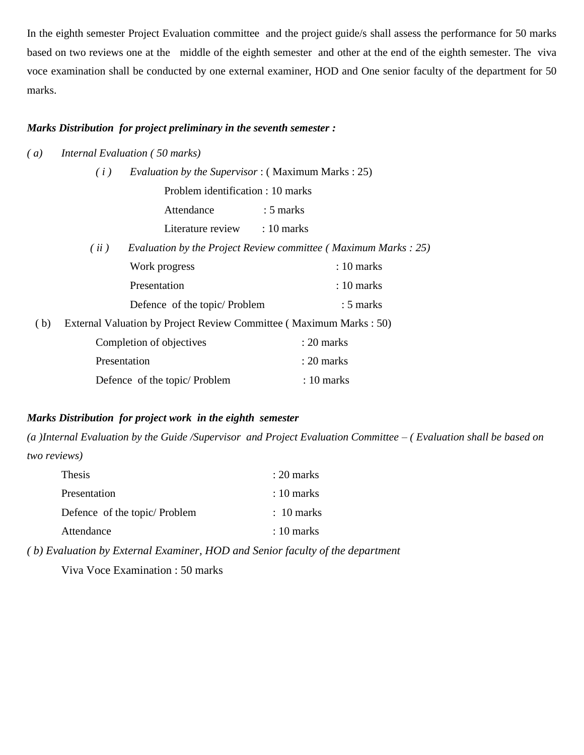In the eighth semester Project Evaluation committee and the project guide/s shall assess the performance for 50 marks based on two reviews one at the middle of the eighth semester and other at the end of the eighth semester. The viva voce examination shall be conducted by one external examiner, HOD and One senior faculty of the department for 50 marks.

### *Marks Distribution for project preliminary in the seventh semester :*

*( a) Internal Evaluation ( 50 marks)*

|     | <i>Evaluation by the Supervisor</i> : (Maximum Marks: 25)<br>(i)   |                                                                 |  |
|-----|--------------------------------------------------------------------|-----------------------------------------------------------------|--|
|     | Problem identification : 10 marks                                  |                                                                 |  |
|     | Attendance                                                         | $: 5$ marks                                                     |  |
|     | Literature review : 10 marks                                       |                                                                 |  |
|     | (ii)                                                               | Evaluation by the Project Review committee (Maximum Marks : 25) |  |
|     | Work progress                                                      | $: 10$ marks                                                    |  |
|     | Presentation                                                       | $: 10$ marks                                                    |  |
|     | Defence of the topic/ Problem                                      | $: 5$ marks                                                     |  |
| (b) | External Valuation by Project Review Committee (Maximum Marks: 50) |                                                                 |  |
|     | Completion of objectives                                           | : 20 marks                                                      |  |
|     | Presentation                                                       | $: 20$ marks                                                    |  |
|     | Defence of the topic/Problem                                       | $: 10 \text{ marks}$                                            |  |

### *Marks Distribution for project work in the eighth semester*

*(a )Internal Evaluation by the Guide /Supervisor and Project Evaluation Committee – ( Evaluation shall be based on two reviews)*

| <b>Thesis</b>                | $: 20$ marks         |
|------------------------------|----------------------|
| Presentation                 | $: 10 \text{ marks}$ |
| Defence of the topic/Problem | $: 10 \text{ marks}$ |
| Attendance                   | $\pm 10$ marks       |

*( b) Evaluation by External Examiner, HOD and Senior faculty of the department*

Viva Voce Examination : 50 marks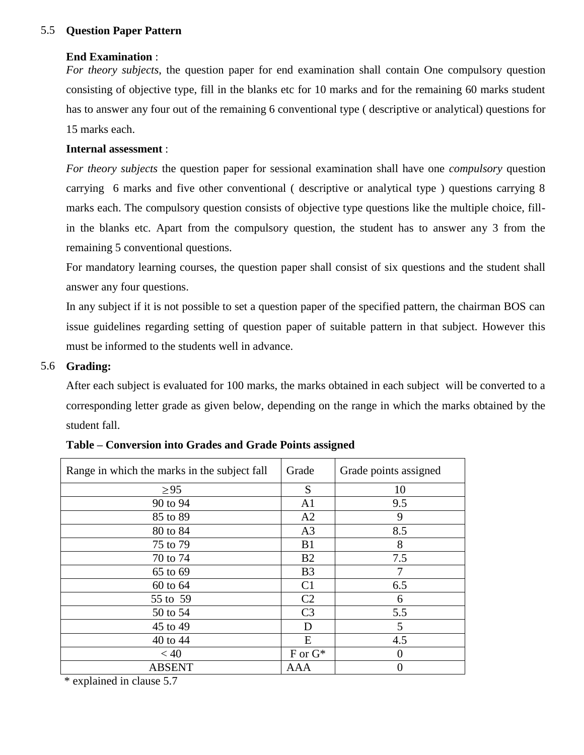## 5.5 **Question Paper Pattern**

### **End Examination** :

*For theory subjects*, the question paper for end examination shall contain One compulsory question consisting of objective type, fill in the blanks etc for 10 marks and for the remaining 60 marks student has to answer any four out of the remaining 6 conventional type ( descriptive or analytical) questions for 15 marks each.

## **Internal assessment** :

*For theory subjects* the question paper for sessional examination shall have one *compulsory* question carrying 6 marks and five other conventional ( descriptive or analytical type ) questions carrying 8 marks each. The compulsory question consists of objective type questions like the multiple choice, fillin the blanks etc. Apart from the compulsory question, the student has to answer any 3 from the remaining 5 conventional questions.

For mandatory learning courses, the question paper shall consist of six questions and the student shall answer any four questions.

In any subject if it is not possible to set a question paper of the specified pattern, the chairman BOS can issue guidelines regarding setting of question paper of suitable pattern in that subject. However this must be informed to the students well in advance.

### 5.6 **Grading:**

After each subject is evaluated for 100 marks, the marks obtained in each subject will be converted to a corresponding letter grade as given below, depending on the range in which the marks obtained by the student fall.

| Grade          | Grade points assigned |
|----------------|-----------------------|
| S              | 10                    |
| A <sub>1</sub> | 9.5                   |
| A2             | 9                     |
| A <sub>3</sub> | 8.5                   |
| B1             | 8                     |
| B2             | 7.5                   |
| B <sub>3</sub> | 7                     |
| C <sub>1</sub> | 6.5                   |
| C <sub>2</sub> | 6                     |
| C <sub>3</sub> | 5.5                   |
| D              | 5                     |
| E              | 4.5                   |
| $F$ or $G^*$   | $\Omega$              |
| AAA            | $\Omega$              |
|                |                       |

| Table – Conversion into Grades and Grade Points assigned |  |  |  |  |  |
|----------------------------------------------------------|--|--|--|--|--|
|----------------------------------------------------------|--|--|--|--|--|

\* explained in clause 5.7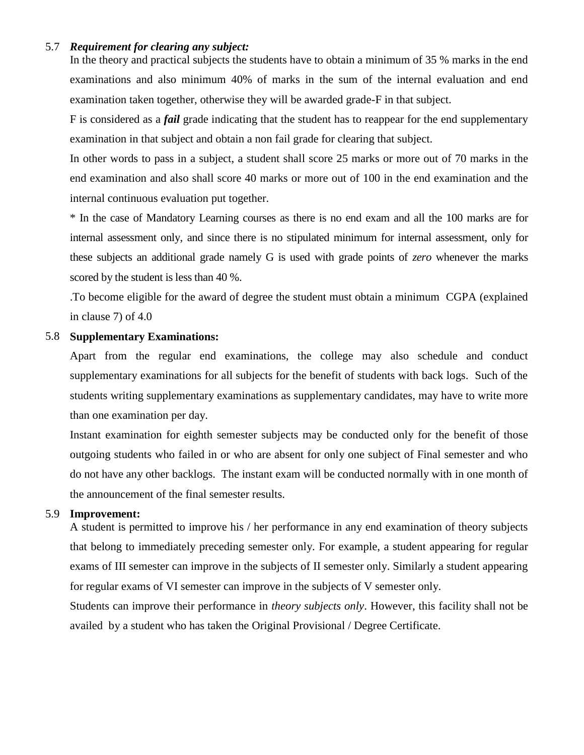### 5.7 *Requirement for clearing any subject:*

In the theory and practical subjects the students have to obtain a minimum of 35 % marks in the end examinations and also minimum 40% of marks in the sum of the internal evaluation and end examination taken together, otherwise they will be awarded grade-F in that subject.

F is considered as a *fail* grade indicating that the student has to reappear for the end supplementary examination in that subject and obtain a non fail grade for clearing that subject.

In other words to pass in a subject, a student shall score 25 marks or more out of 70 marks in the end examination and also shall score 40 marks or more out of 100 in the end examination and the internal continuous evaluation put together.

\* In the case of Mandatory Learning courses as there is no end exam and all the 100 marks are for internal assessment only, and since there is no stipulated minimum for internal assessment, only for these subjects an additional grade namely G is used with grade points of *zero* whenever the marks scored by the student is less than 40 %.

.To become eligible for the award of degree the student must obtain a minimum CGPA (explained in clause 7) of 4.0

## 5.8 **Supplementary Examinations:**

Apart from the regular end examinations, the college may also schedule and conduct supplementary examinations for all subjects for the benefit of students with back logs. Such of the students writing supplementary examinations as supplementary candidates, may have to write more than one examination per day.

Instant examination for eighth semester subjects may be conducted only for the benefit of those outgoing students who failed in or who are absent for only one subject of Final semester and who do not have any other backlogs. The instant exam will be conducted normally with in one month of the announcement of the final semester results.

#### 5.9 **Improvement:**

A student is permitted to improve his / her performance in any end examination of theory subjects that belong to immediately preceding semester only. For example, a student appearing for regular exams of III semester can improve in the subjects of II semester only. Similarly a student appearing for regular exams of VI semester can improve in the subjects of V semester only.

Students can improve their performance in *theory subjects only*. However, this facility shall not be availed by a student who has taken the Original Provisional / Degree Certificate.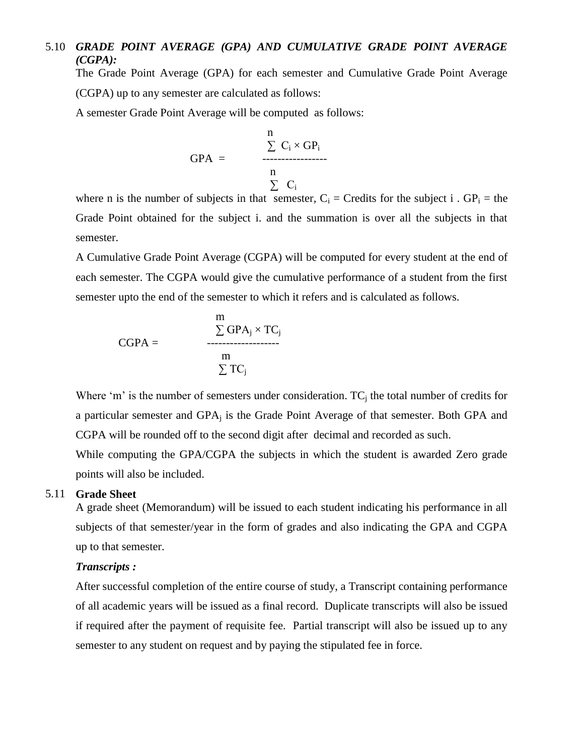## 5.10 *GRADE POINT AVERAGE (GPA) AND CUMULATIVE GRADE POINT AVERAGE (CGPA):*

The Grade Point Average (GPA) for each semester and Cumulative Grade Point Average (CGPA) up to any semester are calculated as follows:

A semester Grade Point Average will be computed as follows:

$$
GPA = \n\begin{array}{c}\n n \\
\sum C_i \times GP_i \\
\hline\n n \\
\sum C_i\n\end{array}
$$

where n is the number of subjects in that semester,  $C_i$  = Credits for the subject i . GP<sub>i</sub> = the Grade Point obtained for the subject i. and the summation is over all the subjects in that semester.

A Cumulative Grade Point Average (CGPA) will be computed for every student at the end of each semester. The CGPA would give the cumulative performance of a student from the first semester upto the end of the semester to which it refers and is calculated as follows.

$$
CGPA = \frac{\sum GPA_j \times TC_j}{\sum T C_j}
$$

Where 'm' is the number of semesters under consideration.  $TC_i$  the total number of credits for a particular semester and GPA<sub>i</sub> is the Grade Point Average of that semester. Both GPA and CGPA will be rounded off to the second digit after decimal and recorded as such.

While computing the GPA/CGPA the subjects in which the student is awarded Zero grade points will also be included.

### 5.11 **Grade Sheet**

A grade sheet (Memorandum) will be issued to each student indicating his performance in all subjects of that semester/year in the form of grades and also indicating the GPA and CGPA up to that semester.

### *Transcripts :*

After successful completion of the entire course of study, a Transcript containing performance of all academic years will be issued as a final record. Duplicate transcripts will also be issued if required after the payment of requisite fee. Partial transcript will also be issued up to any semester to any student on request and by paying the stipulated fee in force.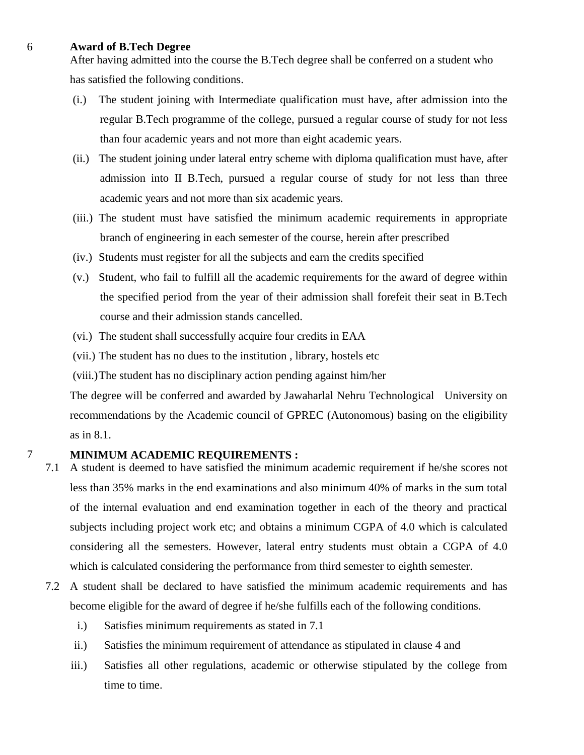### 6 **Award of B.Tech Degree**

After having admitted into the course the B.Tech degree shall be conferred on a student who has satisfied the following conditions.

- (i.) The student joining with Intermediate qualification must have, after admission into the regular B.Tech programme of the college, pursued a regular course of study for not less than four academic years and not more than eight academic years.
- (ii.) The student joining under lateral entry scheme with diploma qualification must have, after admission into II B.Tech, pursued a regular course of study for not less than three academic years and not more than six academic years.
- (iii.) The student must have satisfied the minimum academic requirements in appropriate branch of engineering in each semester of the course, herein after prescribed
- (iv.) Students must register for all the subjects and earn the credits specified
- (v.) Student, who fail to fulfill all the academic requirements for the award of degree within the specified period from the year of their admission shall forefeit their seat in B.Tech course and their admission stands cancelled.
- (vi.) The student shall successfully acquire four credits in EAA
- (vii.) The student has no dues to the institution , library, hostels etc

(viii.)The student has no disciplinary action pending against him/her

The degree will be conferred and awarded by Jawaharlal Nehru Technological University on recommendations by the Academic council of GPREC (Autonomous) basing on the eligibility as in 8.1.

### 7 **MINIMUM ACADEMIC REQUIREMENTS :**

- 7.1 A student is deemed to have satisfied the minimum academic requirement if he/she scores not less than 35% marks in the end examinations and also minimum 40% of marks in the sum total of the internal evaluation and end examination together in each of the theory and practical subjects including project work etc; and obtains a minimum CGPA of 4.0 which is calculated considering all the semesters. However, lateral entry students must obtain a CGPA of 4.0 which is calculated considering the performance from third semester to eighth semester.
- 7.2 A student shall be declared to have satisfied the minimum academic requirements and has become eligible for the award of degree if he/she fulfills each of the following conditions.
	- i.) Satisfies minimum requirements as stated in 7.1
	- ii.) Satisfies the minimum requirement of attendance as stipulated in clause 4 and
	- iii.) Satisfies all other regulations, academic or otherwise stipulated by the college from time to time.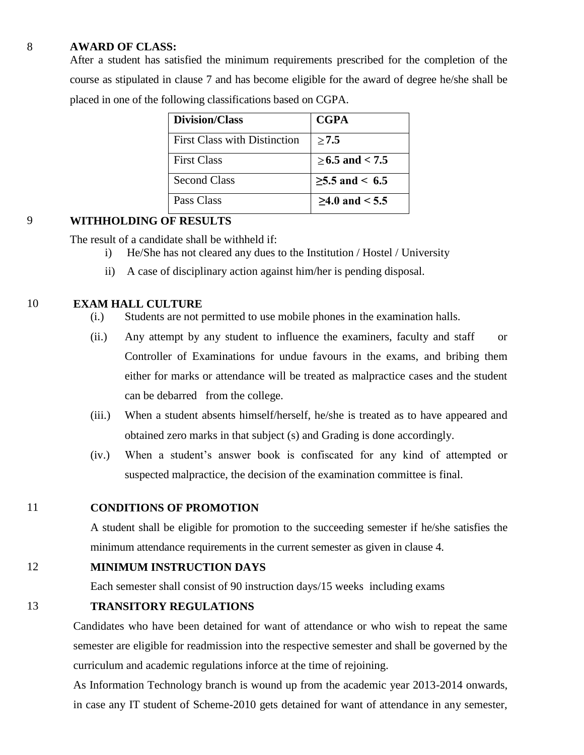### 8 **AWARD OF CLASS:**

After a student has satisfied the minimum requirements prescribed for the completion of the course as stipulated in clause 7 and has become eligible for the award of degree he/she shall be placed in one of the following classifications based on CGPA.

| <b>Division/Class</b>               | <b>CGPA</b>        |
|-------------------------------------|--------------------|
| <b>First Class with Distinction</b> | >7.5               |
| <b>First Class</b>                  | $>6.5$ and $< 7.5$ |
| Second Class                        | $≥5.5$ and < 6.5   |
| Pass Class                          | $>4.0$ and $< 5.5$ |

# 9 **WITHHOLDING OF RESULTS**

The result of a candidate shall be withheld if:

- i) He/She has not cleared any dues to the Institution / Hostel / University
- ii) A case of disciplinary action against him/her is pending disposal.

## 10 **EXAM HALL CULTURE**

- (i.) Students are not permitted to use mobile phones in the examination halls.
- (ii.) Any attempt by any student to influence the examiners, faculty and staff or Controller of Examinations for undue favours in the exams, and bribing them either for marks or attendance will be treated as malpractice cases and the student can be debarred from the college.
- (iii.) When a student absents himself/herself, he/she is treated as to have appeared and obtained zero marks in that subject (s) and Grading is done accordingly.
- (iv.) When a student's answer book is confiscated for any kind of attempted or suspected malpractice, the decision of the examination committee is final.

## 11 **CONDITIONS OF PROMOTION**

A student shall be eligible for promotion to the succeeding semester if he/she satisfies the minimum attendance requirements in the current semester as given in clause 4.

## 12 **MINIMUM INSTRUCTION DAYS**

Each semester shall consist of 90 instruction days/15 weeks including exams

## 13 **TRANSITORY REGULATIONS**

Candidates who have been detained for want of attendance or who wish to repeat the same semester are eligible for readmission into the respective semester and shall be governed by the curriculum and academic regulations inforce at the time of rejoining.

As Information Technology branch is wound up from the academic year 2013-2014 onwards, in case any IT student of Scheme-2010 gets detained for want of attendance in any semester,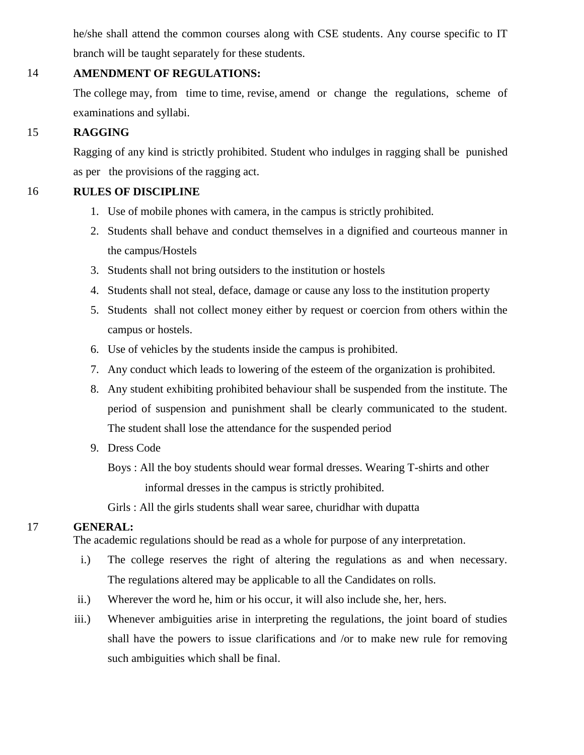he/she shall attend the common courses along with CSE students. Any course specific to IT branch will be taught separately for these students.

## 14 **AMENDMENT OF REGULATIONS:**

The college may, from time to time, revise, amend or change the regulations, scheme of examinations and syllabi.

## 15 **RAGGING**

Ragging of any kind is strictly prohibited. Student who indulges in ragging shall be punished as per the provisions of the ragging act.

## 16 **RULES OF DISCIPLINE**

- 1. Use of mobile phones with camera, in the campus is strictly prohibited.
- 2. Students shall behave and conduct themselves in a dignified and courteous manner in the campus/Hostels
- 3. Students shall not bring outsiders to the institution or hostels
- 4. Students shall not steal, deface, damage or cause any loss to the institution property
- 5. Students shall not collect money either by request or coercion from others within the campus or hostels.
- 6. Use of vehicles by the students inside the campus is prohibited.
- 7. Any conduct which leads to lowering of the esteem of the organization is prohibited.
- 8. Any student exhibiting prohibited behaviour shall be suspended from the institute. The period of suspension and punishment shall be clearly communicated to the student. The student shall lose the attendance for the suspended period
- 9. Dress Code

 Boys : All the boy students should wear formal dresses. Wearing T-shirts and other informal dresses in the campus is strictly prohibited.

Girls : All the girls students shall wear saree, churidhar with dupatta

# 17 **GENERAL:**

The academic regulations should be read as a whole for purpose of any interpretation.

- i.) The college reserves the right of altering the regulations as and when necessary. The regulations altered may be applicable to all the Candidates on rolls.
- ii.) Wherever the word he, him or his occur, it will also include she, her, hers.
- iii.) Whenever ambiguities arise in interpreting the regulations, the joint board of studies shall have the powers to issue clarifications and /or to make new rule for removing such ambiguities which shall be final.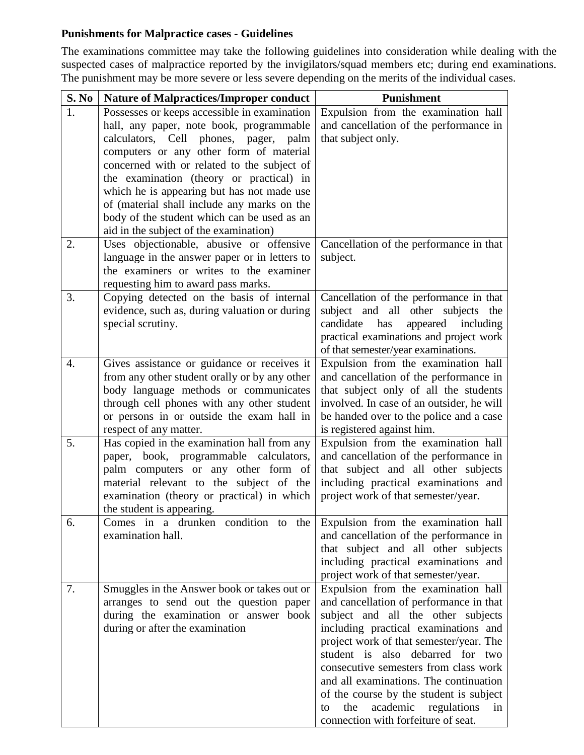# **Punishments for Malpractice cases - Guidelines**

The examinations committee may take the following guidelines into consideration while dealing with the suspected cases of malpractice reported by the invigilators/squad members etc; during end examinations. The punishment may be more severe or less severe depending on the merits of the individual cases.

| S. No            | <b>Nature of Malpractices/Improper conduct</b>                                   | <b>Punishment</b>                                                                  |
|------------------|----------------------------------------------------------------------------------|------------------------------------------------------------------------------------|
| 1.               | Possesses or keeps accessible in examination                                     | Expulsion from the examination hall                                                |
|                  | hall, any paper, note book, programmable                                         | and cancellation of the performance in                                             |
|                  | calculators, Cell<br>phones, pager,<br>palm                                      | that subject only.                                                                 |
|                  | computers or any other form of material                                          |                                                                                    |
|                  | concerned with or related to the subject of                                      |                                                                                    |
|                  | the examination (theory or practical) in                                         |                                                                                    |
|                  | which he is appearing but has not made use                                       |                                                                                    |
|                  | of (material shall include any marks on the                                      |                                                                                    |
|                  | body of the student which can be used as an                                      |                                                                                    |
|                  | aid in the subject of the examination)                                           |                                                                                    |
| 2.               | Uses objectionable, abusive or offensive                                         | Cancellation of the performance in that                                            |
|                  | language in the answer paper or in letters to                                    | subject.                                                                           |
|                  | the examiners or writes to the examiner                                          |                                                                                    |
|                  | requesting him to award pass marks.                                              |                                                                                    |
| 3.               | Copying detected on the basis of internal                                        | Cancellation of the performance in that                                            |
|                  | evidence, such as, during valuation or during                                    | subject and all other subjects<br>the                                              |
|                  | special scrutiny.                                                                | candidate<br>appeared<br>has<br>including                                          |
|                  |                                                                                  | practical examinations and project work                                            |
|                  |                                                                                  | of that semester/year examinations.                                                |
| $\overline{4}$ . | Gives assistance or guidance or receives it                                      | Expulsion from the examination hall                                                |
|                  | from any other student orally or by any other                                    | and cancellation of the performance in                                             |
|                  | body language methods or communicates                                            | that subject only of all the students                                              |
|                  | through cell phones with any other student                                       | involved. In case of an outsider, he will                                          |
|                  | or persons in or outside the exam hall in                                        | be handed over to the police and a case                                            |
|                  | respect of any matter.                                                           | is registered against him.                                                         |
| 5.               | Has copied in the examination hall from any                                      | Expulsion from the examination hall                                                |
|                  | paper, book, programmable calculators,                                           | and cancellation of the performance in                                             |
|                  | palm computers or any other form of                                              | that subject and all other subjects                                                |
|                  | material relevant to the subject of the                                          | including practical examinations and                                               |
|                  | examination (theory or practical) in which                                       | project work of that semester/year.                                                |
|                  | the student is appearing.                                                        |                                                                                    |
| 6.               | Comes in a drunken condition to the                                              | Expulsion from the examination hall                                                |
|                  | examination hall.                                                                | and cancellation of the performance in                                             |
|                  |                                                                                  | that subject and all other subjects                                                |
|                  |                                                                                  | including practical examinations and                                               |
|                  |                                                                                  | project work of that semester/year.                                                |
| 7.               | Smuggles in the Answer book or takes out or                                      | Expulsion from the examination hall<br>and cancellation of performance in that     |
|                  | arranges to send out the question paper<br>during the examination or answer book | subject and all the other subjects                                                 |
|                  |                                                                                  | including practical examinations and                                               |
|                  | during or after the examination                                                  | project work of that semester/year. The                                            |
|                  |                                                                                  | student is also debarred for two                                                   |
|                  |                                                                                  |                                                                                    |
|                  |                                                                                  |                                                                                    |
|                  |                                                                                  | consecutive semesters from class work                                              |
|                  |                                                                                  | and all examinations. The continuation                                             |
|                  |                                                                                  | of the course by the student is subject<br>academic regulations<br>the<br>to<br>in |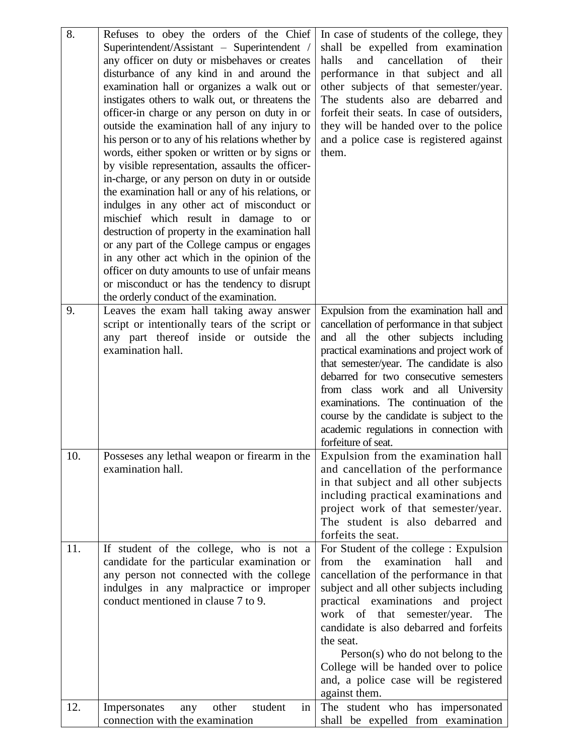| 8.  | Refuses to obey the orders of the Chief<br>Superintendent/Assistant - Superintendent /<br>any officer on duty or misbehaves or creates<br>disturbance of any kind in and around the<br>examination hall or organizes a walk out or<br>instigates others to walk out, or threatens the<br>officer-in charge or any person on duty in or<br>outside the examination hall of any injury to<br>his person or to any of his relations whether by<br>words, either spoken or written or by signs or<br>by visible representation, assaults the officer-<br>in-charge, or any person on duty in or outside<br>the examination hall or any of his relations, or<br>indulges in any other act of misconduct or<br>mischief which result in damage to or<br>destruction of property in the examination hall<br>or any part of the College campus or engages<br>in any other act which in the opinion of the<br>officer on duty amounts to use of unfair means<br>or misconduct or has the tendency to disrupt<br>the orderly conduct of the examination. | In case of students of the college, they<br>shall be expelled from examination<br>of<br>and<br>cancellation<br>halls<br>their<br>performance in that subject and all<br>other subjects of that semester/year.<br>The students also are debarred and<br>forfeit their seats. In case of outsiders,<br>they will be handed over to the police<br>and a police case is registered against<br>them.                                                                   |
|-----|------------------------------------------------------------------------------------------------------------------------------------------------------------------------------------------------------------------------------------------------------------------------------------------------------------------------------------------------------------------------------------------------------------------------------------------------------------------------------------------------------------------------------------------------------------------------------------------------------------------------------------------------------------------------------------------------------------------------------------------------------------------------------------------------------------------------------------------------------------------------------------------------------------------------------------------------------------------------------------------------------------------------------------------------|-------------------------------------------------------------------------------------------------------------------------------------------------------------------------------------------------------------------------------------------------------------------------------------------------------------------------------------------------------------------------------------------------------------------------------------------------------------------|
| 9.  | Leaves the exam hall taking away answer<br>script or intentionally tears of the script or<br>any part thereof inside or outside the<br>examination hall.                                                                                                                                                                                                                                                                                                                                                                                                                                                                                                                                                                                                                                                                                                                                                                                                                                                                                       | Expulsion from the examination hall and<br>cancellation of performance in that subject<br>and all the other subjects including<br>practical examinations and project work of<br>that semester/year. The candidate is also<br>debarred for two consecutive semesters<br>from class work and all University<br>examinations. The continuation of the<br>course by the candidate is subject to the<br>academic regulations in connection with<br>forfeiture of seat. |
| 10. | Possesses any lethal weapon or firearm in the<br>examination hall.                                                                                                                                                                                                                                                                                                                                                                                                                                                                                                                                                                                                                                                                                                                                                                                                                                                                                                                                                                             | Expulsion from the examination hall<br>and cancellation of the performance<br>in that subject and all other subjects<br>including practical examinations and<br>project work of that semester/year.<br>The student is also debarred and<br>forfeits the seat.                                                                                                                                                                                                     |
| 11. | If student of the college, who is not a<br>candidate for the particular examination or<br>any person not connected with the college<br>indulges in any malpractice or improper<br>conduct mentioned in clause 7 to 9.                                                                                                                                                                                                                                                                                                                                                                                                                                                                                                                                                                                                                                                                                                                                                                                                                          | For Student of the college : Expulsion<br>examination<br>from<br>the<br>hall<br>and<br>cancellation of the performance in that<br>subject and all other subjects including<br>practical examinations and project<br>work of that<br>semester/year.<br>The<br>candidate is also debarred and forfeits<br>the seat.<br>$Person(s)$ who do not belong to the<br>College will be handed over to police<br>and, a police case will be registered<br>against them.      |
| 12. | other<br>student<br>in<br>Impersonates<br>any<br>connection with the examination                                                                                                                                                                                                                                                                                                                                                                                                                                                                                                                                                                                                                                                                                                                                                                                                                                                                                                                                                               | The student who has impersonated<br>shall be expelled from examination                                                                                                                                                                                                                                                                                                                                                                                            |